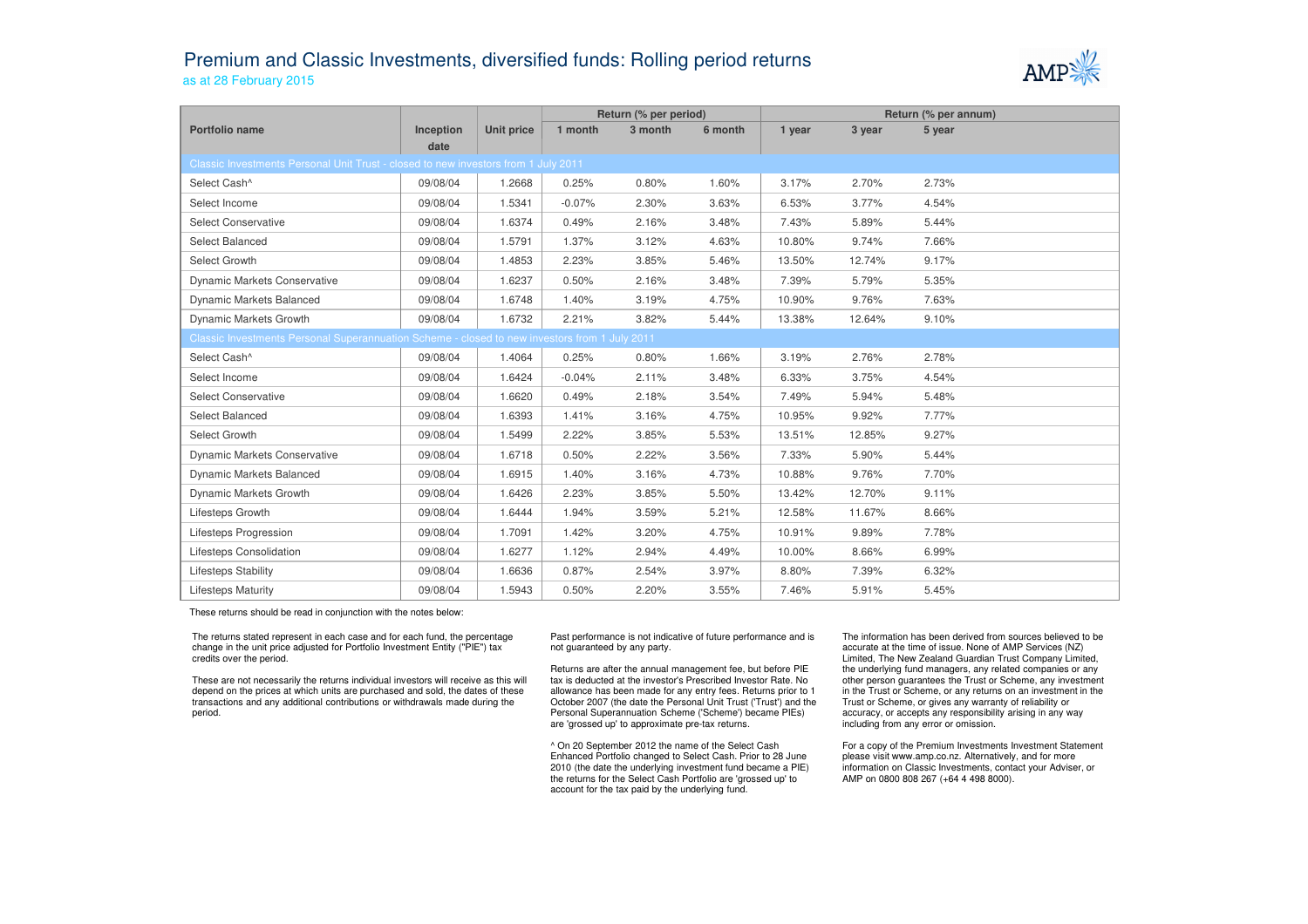## Premium and Classic Investments, diversified funds: Rolling period returnsas at 28 February 2015



|                                                                                               |           |            | Return (% per period) |         |         | Return (% per annum) |        |        |  |  |  |  |
|-----------------------------------------------------------------------------------------------|-----------|------------|-----------------------|---------|---------|----------------------|--------|--------|--|--|--|--|
| Portfolio name                                                                                | Inception | Unit price | 1 month               | 3 month | 6 month | 1 year               | 3 year | 5 year |  |  |  |  |
|                                                                                               | date      |            |                       |         |         |                      |        |        |  |  |  |  |
| Classic Investments Personal Unit Trust - closed to new investors from 1 July 2011            |           |            |                       |         |         |                      |        |        |  |  |  |  |
| Select Cash^                                                                                  | 09/08/04  | 1.2668     | 0.25%                 | 0.80%   | 1.60%   | 3.17%                | 2.70%  | 2.73%  |  |  |  |  |
| Select Income                                                                                 | 09/08/04  | 1.5341     | $-0.07%$              | 2.30%   | 3.63%   | 6.53%                | 3.77%  | 4.54%  |  |  |  |  |
| <b>Select Conservative</b>                                                                    | 09/08/04  | 1.6374     | 0.49%                 | 2.16%   | 3.48%   | 7.43%                | 5.89%  | 5.44%  |  |  |  |  |
| Select Balanced                                                                               | 09/08/04  | 1.5791     | 1.37%                 | 3.12%   | 4.63%   | 10.80%               | 9.74%  | 7.66%  |  |  |  |  |
| Select Growth                                                                                 | 09/08/04  | 1.4853     | 2.23%                 | 3.85%   | 5.46%   | 13.50%               | 12.74% | 9.17%  |  |  |  |  |
| <b>Dynamic Markets Conservative</b>                                                           | 09/08/04  | 1.6237     | 0.50%                 | 2.16%   | 3.48%   | 7.39%                | 5.79%  | 5.35%  |  |  |  |  |
| Dynamic Markets Balanced                                                                      | 09/08/04  | 1.6748     | 1.40%                 | 3.19%   | 4.75%   | 10.90%               | 9.76%  | 7.63%  |  |  |  |  |
| Dynamic Markets Growth                                                                        | 09/08/04  | 1.6732     | 2.21%                 | 3.82%   | 5.44%   | 13.38%               | 12.64% | 9.10%  |  |  |  |  |
| Classic Investments Personal Superannuation Scheme - closed to new investors from 1 July 2011 |           |            |                       |         |         |                      |        |        |  |  |  |  |
| Select Cash^                                                                                  | 09/08/04  | 1.4064     | 0.25%                 | 0.80%   | 1.66%   | 3.19%                | 2.76%  | 2.78%  |  |  |  |  |
| Select Income                                                                                 | 09/08/04  | 1.6424     | $-0.04%$              | 2.11%   | 3.48%   | 6.33%                | 3.75%  | 4.54%  |  |  |  |  |
| <b>Select Conservative</b>                                                                    | 09/08/04  | 1.6620     | 0.49%                 | 2.18%   | 3.54%   | 7.49%                | 5.94%  | 5.48%  |  |  |  |  |
| Select Balanced                                                                               | 09/08/04  | 1.6393     | 1.41%                 | 3.16%   | 4.75%   | 10.95%               | 9.92%  | 7.77%  |  |  |  |  |
| Select Growth                                                                                 | 09/08/04  | 1.5499     | 2.22%                 | 3.85%   | 5.53%   | 13.51%               | 12.85% | 9.27%  |  |  |  |  |
| Dynamic Markets Conservative                                                                  | 09/08/04  | 1.6718     | 0.50%                 | 2.22%   | 3.56%   | 7.33%                | 5.90%  | 5.44%  |  |  |  |  |
| Dynamic Markets Balanced                                                                      | 09/08/04  | 1.6915     | 1.40%                 | 3.16%   | 4.73%   | 10.88%               | 9.76%  | 7.70%  |  |  |  |  |
| Dynamic Markets Growth                                                                        | 09/08/04  | 1.6426     | 2.23%                 | 3.85%   | 5.50%   | 13.42%               | 12.70% | 9.11%  |  |  |  |  |
| Lifesteps Growth                                                                              | 09/08/04  | 1.6444     | 1.94%                 | 3.59%   | 5.21%   | 12.58%               | 11.67% | 8.66%  |  |  |  |  |
| Lifesteps Progression                                                                         | 09/08/04  | 1.7091     | 1.42%                 | 3.20%   | 4.75%   | 10.91%               | 9.89%  | 7.78%  |  |  |  |  |
| Lifesteps Consolidation                                                                       | 09/08/04  | 1.6277     | 1.12%                 | 2.94%   | 4.49%   | 10.00%               | 8.66%  | 6.99%  |  |  |  |  |
| <b>Lifesteps Stability</b>                                                                    | 09/08/04  | 1.6636     | 0.87%                 | 2.54%   | 3.97%   | 8.80%                | 7.39%  | 6.32%  |  |  |  |  |
| <b>Lifesteps Maturity</b>                                                                     | 09/08/04  | 1.5943     | 0.50%                 | 2.20%   | 3.55%   | 7.46%                | 5.91%  | 5.45%  |  |  |  |  |

These returns should be read in conjunction with the notes below:

The returns stated represent in each case and for each fund, the percentage change in the unit price adjusted for Portfolio Investment Entity ("PIE") tax credits over the period.

These are not necessarily the returns individual investors will receive as this will depend on the prices at which units are purchased and sold, the dates of these transactions and any additional contributions or withdrawals made during the period.

Past performance is not indicative of future performance and is not guaranteed by any party.

Returns are after the annual management fee, but before PIE tax is deducted at the investor's Prescribed Investor Rate. No allowance has been made for any entry fees. Returns prior to 1 October 2007 (the date the Personal Unit Trust ('Trust') and the Personal Superannuation Scheme ('Scheme') became PIEs) are 'grossed up' to approximate pre-tax returns.

^ On 20 September 2012 the name of the Select Cash Enhanced Portfolio changed to Select Cash. Prior to 28 June 2010 (the date the underlying investment fund became a PIE) the returns for the Select Cash Portfolio are 'grossed up' to account for the tax paid by the underlying fund.

The information has been derived from sources believed to be accurate at the time of issue. None of AMP Services (NZ) Limited, The New Zealand Guardian Trust Company Limited, the underlying fund managers, any related companies or any other person guarantees the Trust or Scheme, any investment in the Trust or Scheme, or any returns on an investment in the Trust or Scheme, or gives any warranty of reliability or accuracy, or accepts any responsibility arising in any way including from any error or omission.

For a copy of the Premium Investments Investment Statement please visit www.amp.co.nz. Alternatively, and for more information on Classic Investments, contact your Adviser, or AMP on 0800 808 267 (+64 4 498 8000).